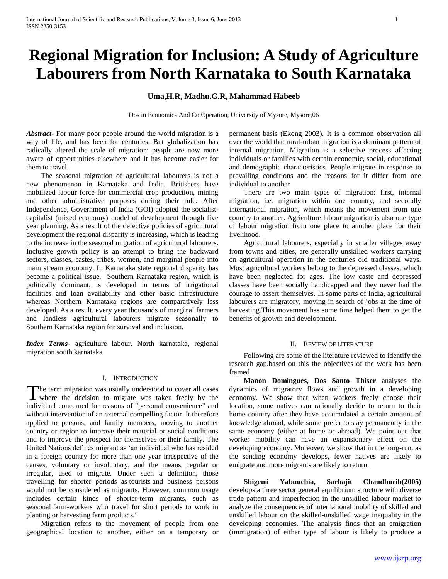# **Regional Migration for Inclusion: A Study of Agriculture Labourers from North Karnataka to South Karnataka**

# **Uma,H.R, Madhu.G.R, Mahammad Habeeb**

Dos in Economics And Co Operation, University of Mysore, Mysore,06

*Abstract***-** For many poor people around the world migration is a way of life, and has been for centuries. But globalization has radically altered the scale of migration: people are now more aware of opportunities elsewhere and it has become easier for them to travel.

 The seasonal migration of agricultural labourers is not a new phenomenon in Karnataka and India. Britishers have mobilized labour force for commercial crop production, mining and other administrative purposes during their rule. After Independence, Government of India (GOI) adopted the socialistcapitalist (mixed economy) model of development through five year planning. As a result of the defective policies of agricultural development the regional disparity is increasing, which is leading to the increase in the seasonal migration of agricultural labourers. Inclusive growth policy is an attempt to bring the backward sectors, classes, castes, tribes, women, and marginal people into main stream economy. In Karnataka state regional disparity has become a political issue. Southern Karnataka region, which is politically dominant, is developed in terms of irrigational facilities and loan availability and other basic infrastructure whereas Northern Karnataka regions are comparatively less developed. As a result, every year thousands of marginal farmers and landless agricultural labourers migrate seasonally to Southern Karnataka region for survival and inclusion.

*Index Terms*- agriculture labour. North karnataka, regional migration south karnataka

## I. INTRODUCTION

The term migration was usually understood to cover all cases The term migration was usually understood to cover all cases<br>where the decision to migrate was taken freely by the individual concerned for reasons of "personal convenience" and without intervention of an external compelling factor. It therefore applied to persons, and family members, moving to another country or region to improve their material or social conditions and to improve the prospect for themselves or their family. The United Nations defines migrant as "an individual who has resided in a foreign country for more than one year irrespective of the causes, voluntary or involuntary, and the means, regular or irregular, used to migrate. Under such a definition, those travelling for shorter periods as tourists and business persons would not be considered as migrants. However, common usage includes certain kinds of shorter-term migrants, such as seasonal farm-workers who travel for short periods to work in planting or harvesting farm products."

 Migration refers to the movement of people from one geographical location to another, either on a temporary or permanent basis (Ekong 2003). It is a common observation all over the world that rural-urban migration is a dominant pattern of internal migration. Migration is a selective process affecting individuals or families with certain economic, social, educational and demographic characteristics. People migrate in response to prevailing conditions and the reasons for it differ from one individual to another

 There are two main types of migration: first, internal migration, i.e. migration within one country, and secondly international migration, which means the movement from one country to another. Agriculture labour migration is also one type of labour migration from one place to another place for their livelihood.

 Agricultural labourers, especially in smaller villages away from towns and cities, are generally unskilled workers carrying on agricultural operation in the centuries old traditional ways. Most agricultural workers belong to the depressed classes, which have been neglected for ages. The low caste and depressed classes have been socially handicapped and they never had the courage to assert themselves. In some parts of India, agricultural labourers are migratory, moving in search of jobs at the time of harvesting.This movement has some time helped them to get the benefits of growth and development.

#### II. REVIEW OF LITERATURE

 Following are some of the literature reviewed to identify the research gap.based on this the objectives of the work has been framed

 **Manon Domingues, Dos Santo Thiser** analyses the dynamics of migratory flows and growth in a developing economy. We show that when workers freely choose their location, some natives can rationally decide to return to their home country after they have accumulated a certain amount of knowledge abroad, while some prefer to stay permanently in the same economy (either at home or abroad). We point out that worker mobility can have an expansionary effect on the developing economy. Moreover, we show that in the long-run, as the sending economy develops, fewer natives are likely to emigrate and more migrants are likely to return.

 **Shigemi Yabuuchia, Sarbajit Chaudhurib(2005)** develops a three sector general equilibrium structure with diverse trade pattern and imperfection in the unskilled labour market to analyze the consequences of international mobility of skilled and unskilled labour on the skilled-unskilled wage inequality in the developing economies. The analysis finds that an emigration (immigration) of either type of labour is likely to produce a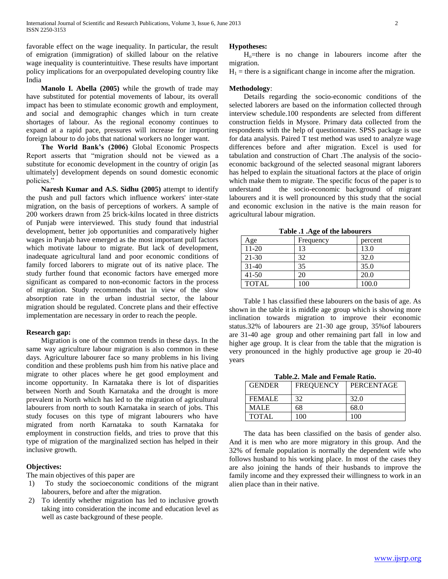favorable effect on the wage inequality. In particular, the result of emigration (immigration) of skilled labour on the relative wage inequality is counterintuitive. These results have important policy implications for an overpopulated developing country like India

 **Manolo I. Abella (2005)** while the growth of trade may have substituted for potential movements of labour, its overall impact has been to stimulate economic growth and employment, and social and demographic changes which in turn create shortages of labour. As the regional economy continues to expand at a rapid pace, pressures will increase for importing foreign labour to do jobs that national workers no longer want.

 **The World Bank's (2006)** Global Economic Prospects Report asserts that "migration should not be viewed as a substitute for economic development in the country of origin [as ultimately] development depends on sound domestic economic policies."

 **Naresh Kumar and A.S. Sidhu (2005)** attempt to identify the push and pull factors which influence workers' inter-state migration, on the basis of perceptions of workers. A sample of 200 workers drawn from 25 brick-kilns located in three districts of Punjab were interviewed. This study found that industrial development, better job opportunities and comparatively higher wages in Punjab have emerged as the most important pull factors which motivate labour to migrate. But lack of development, inadequate agricultural land and poor economic conditions of family forced laborers to migrate out of its native place. The study further found that economic factors have emerged more significant as compared to non-economic factors in the process of migration. Study recommends that in view of the slow absorption rate in the urban industrial sector, the labour migration should be regulated. Concrete plans and their effective implementation are necessary in order to reach the people.

#### **Research gap:**

 Migration is one of the common trends in these days. In the same way agriculture labour migration is also common in these days. Agriculture labourer face so many problems in his living condition and these problems push him from his native place and migrate to other places where he get good employment and income opportunity. In Karnataka there is lot of disparities between North and South Karnataka and the drought is more prevalent in North which has led to the migration of agricultural labourers from north to south Karnataka in search of jobs. This study focuses on this type of migrant labourers who have migrated from north Karnataka to south Karnataka for employment in construction fields, and tries to prove that this type of migration of the marginalized section has helped in their inclusive growth.

# **Objectives:**

The main objectives of this paper are

- 1) To study the socioeconomic conditions of the migrant labourers, before and after the migration.
- 2) To identify whether migration has led to inclusive growth taking into consideration the income and education level as well as caste background of these people.

#### **Hypotheses:**

 $H<sub>o</sub>$ =there is no change in labourers income after the migration.

 $H_1$  = there is a significant change in income after the migration.

#### **Methodology**:

 Details regarding the socio-economic conditions of the selected laborers are based on the information collected through interview schedule.100 respondents are selected from different construction fields in Mysore. Primary data collected from the respondents with the help of questionnaire. SPSS package is use for data analysis. Paired T test method was used to analyze wage differences before and after migration. Excel is used for tabulation and construction of Chart .The analysis of the socioeconomic background of the selected seasonal migrant laborers has helped to explain the situational factors at the place of origin which make them to migrate. The specific focus of the paper is to understand the socio-economic background of migrant labourers and it is well pronounced by this study that the social and economic exclusion in the native is the main reason for agricultural labour migration.

**Table .1 .Age of the labourers**

| Age          | Frequency | percent |
|--------------|-----------|---------|
| $11-20$      | 13        | 13.0    |
| 21-30        | 32        | 32.0    |
| $31-40$      | 35        | 35.0    |
| $41 - 50$    | 20        | 20.0    |
| <b>TOTAL</b> | 100       | 100.0   |

 Table 1 has classified these labourers on the basis of age. As shown in the table it is middle age group which is showing more inclination towards migration to improve their economic status.32% of labourers are 21-30 age group, 35%of labourers are 31-40 age group and other remaining part fall in low and higher age group. It is clear from the table that the migration is very pronounced in the highly productive age group ie 20-40 years

| Tavic.2. Maic and Feman Kauly. |    |            |  |  |  |
|--------------------------------|----|------------|--|--|--|
| <b>FREQUENCY</b><br>GENDER     |    | PERCENTAGE |  |  |  |
| FEMALE                         | 32 | 32.0       |  |  |  |

MALE 68 68.0 TOTAL 100 100

**Table.2. Male and Female Ratio.**

 The data has been classified on the basis of gender also. And it is men who are more migratory in this group. And the 32% of female population is normally the dependent wife who follows husband to his working place. In most of the cases they are also joining the hands of their husbands to improve the family income and they expressed their willingness to work in an alien place than in their native.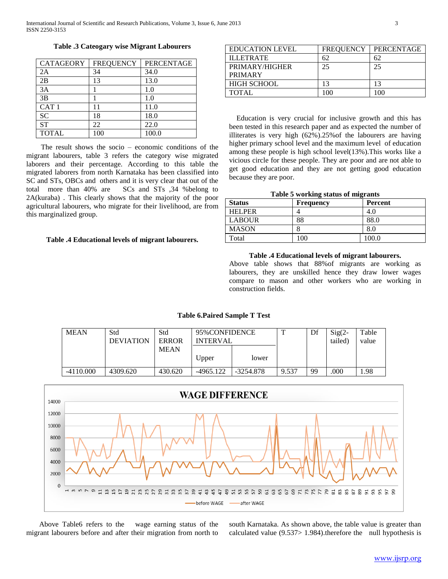**Table .3 Cateogary wise Migrant Labourers**

| CATAGEORY        | <b>FREQUENCY</b> | PERCENTAGE |
|------------------|------------------|------------|
| 2A               | 34               | 34.0       |
| 2B               | 13               | 13.0       |
| 3A               |                  | 1.0        |
| 3B               |                  | 1.0        |
| CAT <sub>1</sub> | 11               | 11.0       |
| <b>SC</b>        | 18               | 18.0       |
| <b>ST</b>        | 22               | 22.0       |
| <b>TOTAL</b>     | 100              | 100.0      |

 The result shows the socio – economic conditions of the migrant labourers, table 3 refers the category wise migrated laborers and their percentage. According to this table the migrated laborers from north Karnataka has been classified into SC and STs, OBCs and others and it is very clear that out of the total more than 40% are SCs and STs ,34 %belong to 2A(kuraba) . This clearly shows that the majority of the poor agricultural labourers, who migrate for their livelihood, are from this marginalized group.

## **Table .4 Educational levels of migrant labourers.**

| <b>EDUCATION LEVEL</b> | <b>FREQUENCY</b> | <b>PERCENTAGE</b> |
|------------------------|------------------|-------------------|
| <b>ILLETRATE</b>       | 62               | 62                |
| PRIMARY/HIGHER         | 25               | 25                |
| <b>PRIMARY</b>         |                  |                   |
| <b>HIGH SCHOOL</b>     | 13               | 13                |
| TOTAL                  | 100              | 100               |
|                        |                  |                   |

 Education is very crucial for inclusive growth and this has been tested in this research paper and as expected the number of illiterates is very high (62%).25%of the labourers are having higher primary school level and the maximum level of education among these people is high school level(13%).This works like a vicious circle for these people. They are poor and are not able to get good education and they are not getting good education because they are poor.

|  |  |  |  |  | Table 5 working status of migrants |
|--|--|--|--|--|------------------------------------|
|--|--|--|--|--|------------------------------------|

| <b>Status</b> | <b>Frequency</b> | <b>Percent</b> |
|---------------|------------------|----------------|
| <b>HELPER</b> |                  | 4.0            |
| <b>LABOUR</b> | 88               | 88.0           |
| <b>MASON</b>  |                  | 8.0            |
| Total         | 100              | 100.0          |

#### **Table .4 Educational levels of migrant labourers.**

Above table shows that 88%of migrants are working as labourers, they are unskilled hence they draw lower wages compare to mason and other workers who are working in construction fields.

# **Table 6.Paired Sample T Test**

| <b>MEAN</b> | Std<br><b>DEVIATION</b> | Std<br>ERROR | 95% CONFIDENCE<br><b>INTERVAL</b> |           |       | Df | $Sig(2 -$<br>tailed) | Table<br>value |
|-------------|-------------------------|--------------|-----------------------------------|-----------|-------|----|----------------------|----------------|
|             |                         | <b>MEAN</b>  | Upper                             | lower     |       |    |                      |                |
| $-4110,000$ | 4309.620                | 430.620      | $-4965.122$                       | -3254.878 | 9.537 | 99 | .000                 | .98            |



 Above Table6 refers to the wage earning status of the migrant labourers before and after their migration from north to

south Karnataka. As shown above, the table value is greater than calculated value (9.537> 1.984).therefore the null hypothesis is